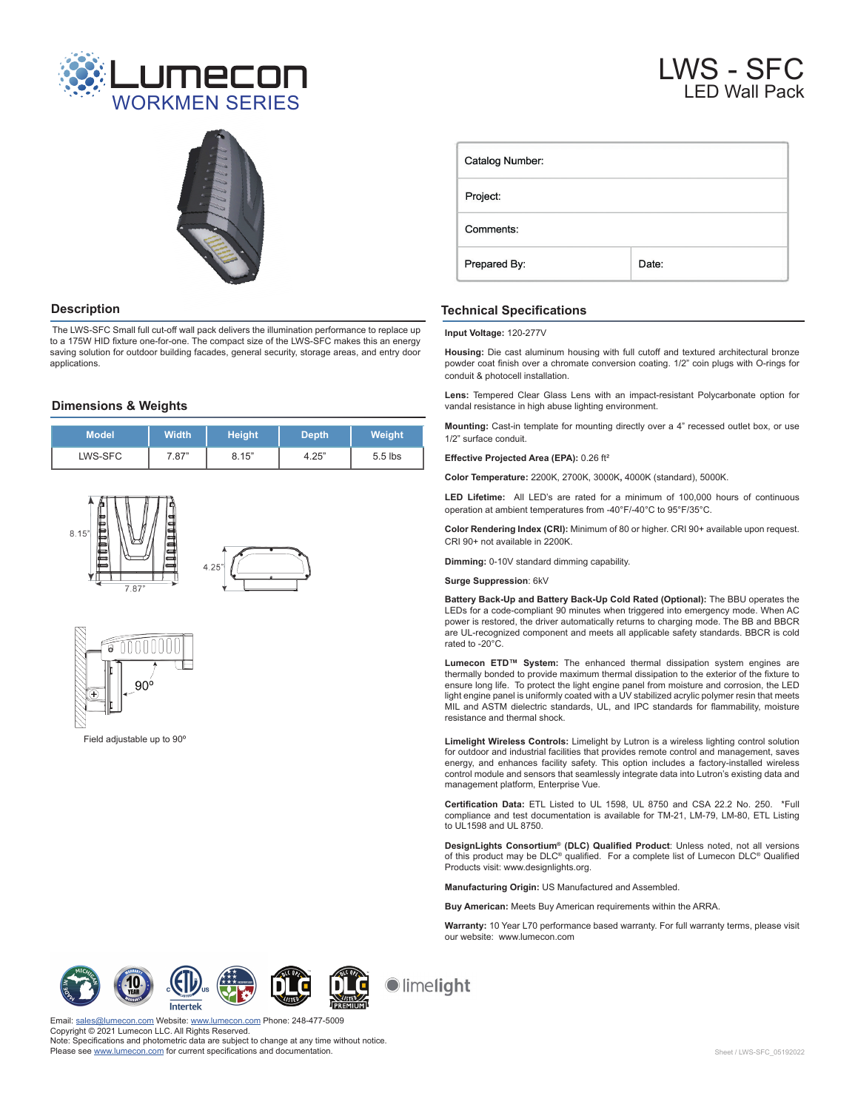



 The LWS-SFC Small full cut-off wall pack delivers the illumination performance to replace up to a 175W HID fixture one-for-one. The compact size of the LWS-SFC makes this an energy saving solution for outdoor building facades, general security, storage areas, and entry door applications.

# **Dimensions & Weights**

| <b>Model</b> | <b>Width</b> | Height <sup>'</sup> | <b>Depth</b> | Weight    |
|--------------|--------------|---------------------|--------------|-----------|
| LWS-SFC      | 7.87"        | 8.15"               | 4.25"        | $5.5$ lbs |





Field adjustable up to 90º

# LWS - SFC LED Wall Pack

| Catalog Number: |       |  |  |  |  |
|-----------------|-------|--|--|--|--|
| Project:        |       |  |  |  |  |
| Comments:       |       |  |  |  |  |
| Prepared By:    | Date: |  |  |  |  |

# **Description Technical Specifications**

**Input Voltage:** 120-277V

**Housing:** Die cast aluminum housing with full cutoff and textured architectural bronze powder coat finish over a chromate conversion coating. 1/2" coin plugs with O-rings for conduit & photocell installation.

**Lens:** Tempered Clear Glass Lens with an impact-resistant Polycarbonate option for vandal resistance in high abuse lighting environment.

**Mounting:** Cast-in template for mounting directly over a 4" recessed outlet box, or use 1/2" surface conduit.

### **Effective Projected Area (EPA):** 0.26 ft²

**Color Temperature:** 2200K, 2700K, 3000K**,** 4000K (standard), 5000K.

**LED Lifetime:** All LED's are rated for a minimum of 100,000 hours of continuous operation at ambient temperatures from -40°F/-40°C to 95°F/35°C.

**Color Rendering Index (CRI):** Minimum of 80 or higher. CRI 90+ available upon request. CRI 90+ not available in 2200K.

**Dimming:** 0-10V standard dimming capability.

**Surge Suppression**: 6kV

**Battery Back-Up and Battery Back-Up Cold Rated (Optional):** The BBU operates the LEDs for a code-compliant 90 minutes when triggered into emergency mode. When AC power is restored, the driver automatically returns to charging mode. The BB and BBCR are UL-recognized component and meets all applicable safety standards. BBCR is cold rated to -20°C.

**Lumecon ETD™ System:** The enhanced thermal dissipation system engines are thermally bonded to provide maximum thermal dissipation to the exterior of the fixture to ensure long life. To protect the light engine panel from moisture and corrosion, the LED light engine panel is uniformly coated with a UV stabilized acrylic polymer resin that meets MIL and ASTM dielectric standards, UL, and IPC standards for flammability, moisture resistance and thermal shock.

**Limelight Wireless Controls:** Limelight by Lutron is a wireless lighting control solution for outdoor and industrial facilities that provides remote control and management, saves energy, and enhances facility safety. This option includes a factory-installed wireless control module and sensors that seamlessly integrate data into Lutron's existing data and management platform, Enterprise Vue.

**Certification Data:** ETL Listed to UL 1598, UL 8750 and CSA 22.2 No. 250. \*Full compliance and test documentation is available for TM-21, LM-79, LM-80, ETL Listing to UL1598 and UL 8750.

**DesignLights Consortium® (DLC) Qualified Product**: Unless noted, not all versions of this product may be DLC® qualified. For a complete list of Lumecon DLC® Qualified Products visit: www.designlights.org.

**Manufacturing Origin:** US Manufactured and Assembled.

**Buy American:** Meets Buy American requirements within the ARRA.

**Warranty:** 10 Year L70 performance based warranty. For full warranty terms, please visit our website: www.lumecon.com

Intertek





limelight

on.com Website: [www.lumecon.com](https://lumecon.com/) Phone: 248-477-5009 Copyright © 2021 Lumecon LLC. All Rights Reserved. Note: Specifications and photometric data are subject to change at any time without notice. Please see [www.lumecon.com](https://lumecon.com/product/lws-sfc-small-full-cut-off-wall-pack/) for current specifications and documentation.